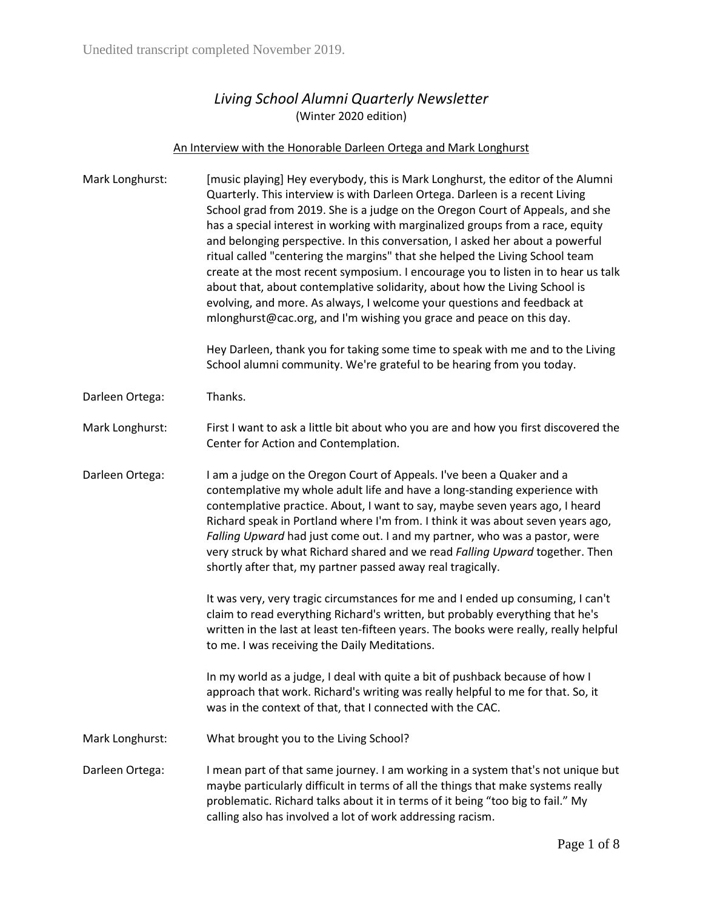## *Living School Alumni Quarterly Newsletter* (Winter 2020 edition)

## An Interview with the Honorable Darleen Ortega and Mark Longhurst

| Mark Longhurst: | [music playing] Hey everybody, this is Mark Longhurst, the editor of the Alumni<br>Quarterly. This interview is with Darleen Ortega. Darleen is a recent Living<br>School grad from 2019. She is a judge on the Oregon Court of Appeals, and she<br>has a special interest in working with marginalized groups from a race, equity<br>and belonging perspective. In this conversation, I asked her about a powerful<br>ritual called "centering the margins" that she helped the Living School team<br>create at the most recent symposium. I encourage you to listen in to hear us talk<br>about that, about contemplative solidarity, about how the Living School is<br>evolving, and more. As always, I welcome your questions and feedback at<br>mlonghurst@cac.org, and I'm wishing you grace and peace on this day.<br>Hey Darleen, thank you for taking some time to speak with me and to the Living<br>School alumni community. We're grateful to be hearing from you today. |
|-----------------|--------------------------------------------------------------------------------------------------------------------------------------------------------------------------------------------------------------------------------------------------------------------------------------------------------------------------------------------------------------------------------------------------------------------------------------------------------------------------------------------------------------------------------------------------------------------------------------------------------------------------------------------------------------------------------------------------------------------------------------------------------------------------------------------------------------------------------------------------------------------------------------------------------------------------------------------------------------------------------------|
| Darleen Ortega: | Thanks.                                                                                                                                                                                                                                                                                                                                                                                                                                                                                                                                                                                                                                                                                                                                                                                                                                                                                                                                                                              |
| Mark Longhurst: | First I want to ask a little bit about who you are and how you first discovered the<br>Center for Action and Contemplation.                                                                                                                                                                                                                                                                                                                                                                                                                                                                                                                                                                                                                                                                                                                                                                                                                                                          |
| Darleen Ortega: | I am a judge on the Oregon Court of Appeals. I've been a Quaker and a<br>contemplative my whole adult life and have a long-standing experience with<br>contemplative practice. About, I want to say, maybe seven years ago, I heard<br>Richard speak in Portland where I'm from. I think it was about seven years ago,<br>Falling Upward had just come out. I and my partner, who was a pastor, were<br>very struck by what Richard shared and we read Falling Upward together. Then<br>shortly after that, my partner passed away real tragically.                                                                                                                                                                                                                                                                                                                                                                                                                                  |
|                 | It was very, very tragic circumstances for me and I ended up consuming, I can't<br>claim to read everything Richard's written, but probably everything that he's<br>written in the last at least ten-fifteen years. The books were really, really helpful<br>to me. I was receiving the Daily Meditations.                                                                                                                                                                                                                                                                                                                                                                                                                                                                                                                                                                                                                                                                           |
|                 | In my world as a judge, I deal with quite a bit of pushback because of how I<br>approach that work. Richard's writing was really helpful to me for that. So, it<br>was in the context of that, that I connected with the CAC.                                                                                                                                                                                                                                                                                                                                                                                                                                                                                                                                                                                                                                                                                                                                                        |
| Mark Longhurst: | What brought you to the Living School?                                                                                                                                                                                                                                                                                                                                                                                                                                                                                                                                                                                                                                                                                                                                                                                                                                                                                                                                               |
| Darleen Ortega: | I mean part of that same journey. I am working in a system that's not unique but<br>maybe particularly difficult in terms of all the things that make systems really<br>problematic. Richard talks about it in terms of it being "too big to fail." My                                                                                                                                                                                                                                                                                                                                                                                                                                                                                                                                                                                                                                                                                                                               |

calling also has involved a lot of work addressing racism.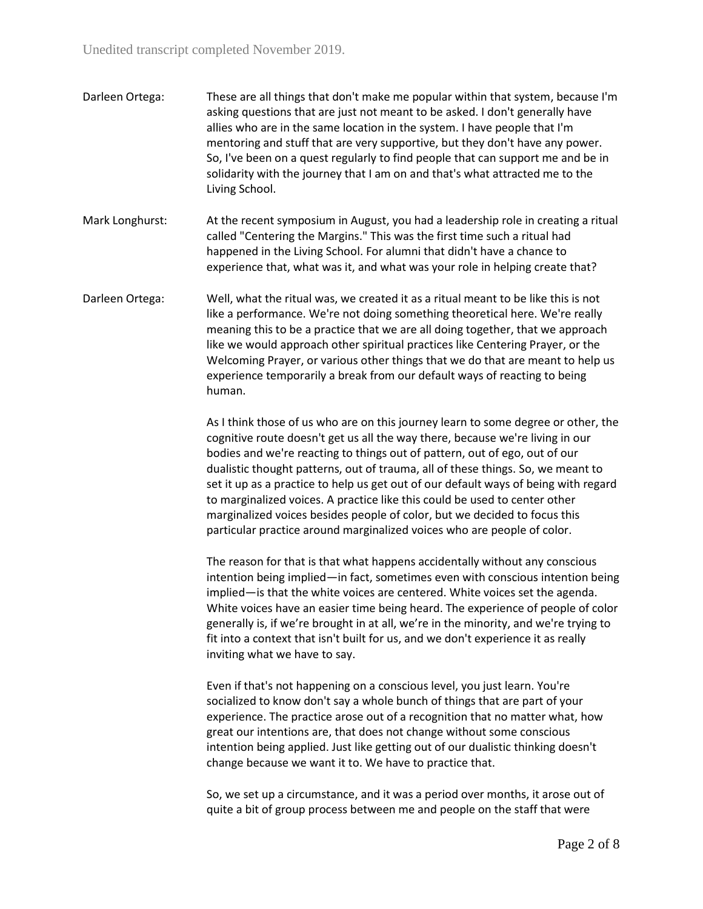| Darleen Ortega: | These are all things that don't make me popular within that system, because I'm |
|-----------------|---------------------------------------------------------------------------------|
|                 | asking questions that are just not meant to be asked. I don't generally have    |
|                 | allies who are in the same location in the system. I have people that I'm       |
|                 | mentoring and stuff that are very supportive, but they don't have any power.    |
|                 | So, I've been on a quest regularly to find people that can support me and be in |
|                 | solidarity with the journey that I am on and that's what attracted me to the    |
|                 | Living School.                                                                  |

Mark Longhurst: At the recent symposium in August, you had a leadership role in creating a ritual called "Centering the Margins." This was the first time such a ritual had happened in the Living School. For alumni that didn't have a chance to experience that, what was it, and what was your role in helping create that?

Darleen Ortega: Well, what the ritual was, we created it as a ritual meant to be like this is not like a performance. We're not doing something theoretical here. We're really meaning this to be a practice that we are all doing together, that we approach like we would approach other spiritual practices like Centering Prayer, or the Welcoming Prayer, or various other things that we do that are meant to help us experience temporarily a break from our default ways of reacting to being human.

> As I think those of us who are on this journey learn to some degree or other, the cognitive route doesn't get us all the way there, because we're living in our bodies and we're reacting to things out of pattern, out of ego, out of our dualistic thought patterns, out of trauma, all of these things. So, we meant to set it up as a practice to help us get out of our default ways of being with regard to marginalized voices. A practice like this could be used to center other marginalized voices besides people of color, but we decided to focus this particular practice around marginalized voices who are people of color.

> The reason for that is that what happens accidentally without any conscious intention being implied—in fact, sometimes even with conscious intention being implied—is that the white voices are centered. White voices set the agenda. White voices have an easier time being heard. The experience of people of color generally is, if we're brought in at all, we're in the minority, and we're trying to fit into a context that isn't built for us, and we don't experience it as really inviting what we have to say.

Even if that's not happening on a conscious level, you just learn. You're socialized to know don't say a whole bunch of things that are part of your experience. The practice arose out of a recognition that no matter what, how great our intentions are, that does not change without some conscious intention being applied. Just like getting out of our dualistic thinking doesn't change because we want it to. We have to practice that.

So, we set up a circumstance, and it was a period over months, it arose out of quite a bit of group process between me and people on the staff that were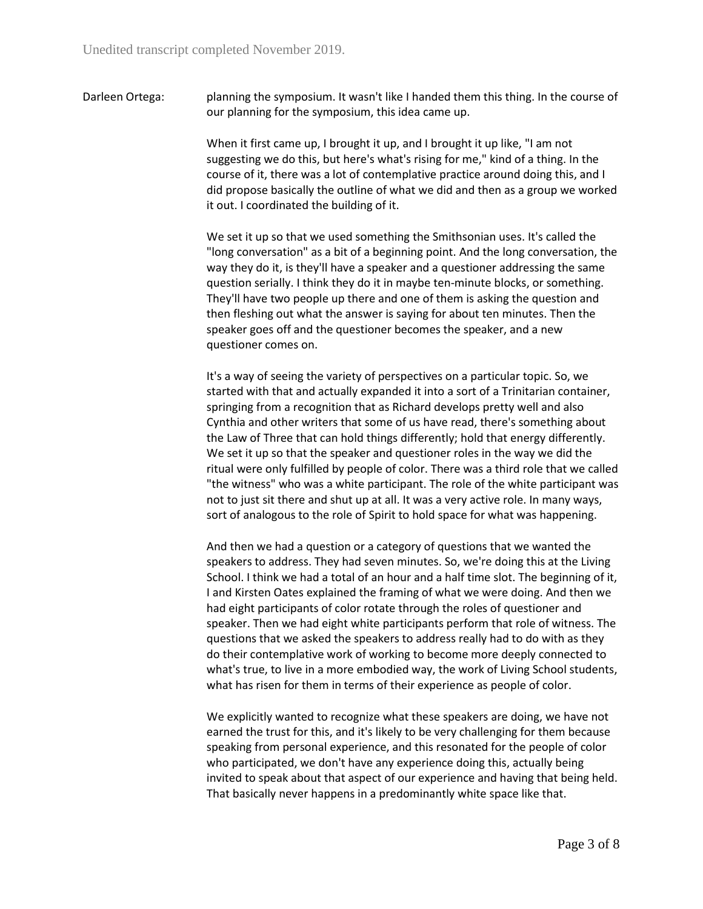Darleen Ortega: planning the symposium. It wasn't like I handed them this thing. In the course of our planning for the symposium, this idea came up.

> When it first came up, I brought it up, and I brought it up like, "I am not suggesting we do this, but here's what's rising for me," kind of a thing. In the course of it, there was a lot of contemplative practice around doing this, and I did propose basically the outline of what we did and then as a group we worked it out. I coordinated the building of it.

> We set it up so that we used something the Smithsonian uses. It's called the "long conversation" as a bit of a beginning point. And the long conversation, the way they do it, is they'll have a speaker and a questioner addressing the same question serially. I think they do it in maybe ten-minute blocks, or something. They'll have two people up there and one of them is asking the question and then fleshing out what the answer is saying for about ten minutes. Then the speaker goes off and the questioner becomes the speaker, and a new questioner comes on.

> It's a way of seeing the variety of perspectives on a particular topic. So, we started with that and actually expanded it into a sort of a Trinitarian container, springing from a recognition that as Richard develops pretty well and also Cynthia and other writers that some of us have read, there's something about the Law of Three that can hold things differently; hold that energy differently. We set it up so that the speaker and questioner roles in the way we did the ritual were only fulfilled by people of color. There was a third role that we called "the witness" who was a white participant. The role of the white participant was not to just sit there and shut up at all. It was a very active role. In many ways, sort of analogous to the role of Spirit to hold space for what was happening.

> And then we had a question or a category of questions that we wanted the speakers to address. They had seven minutes. So, we're doing this at the Living School. I think we had a total of an hour and a half time slot. The beginning of it, I and Kirsten Oates explained the framing of what we were doing. And then we had eight participants of color rotate through the roles of questioner and speaker. Then we had eight white participants perform that role of witness. The questions that we asked the speakers to address really had to do with as they do their contemplative work of working to become more deeply connected to what's true, to live in a more embodied way, the work of Living School students, what has risen for them in terms of their experience as people of color.

> We explicitly wanted to recognize what these speakers are doing, we have not earned the trust for this, and it's likely to be very challenging for them because speaking from personal experience, and this resonated for the people of color who participated, we don't have any experience doing this, actually being invited to speak about that aspect of our experience and having that being held. That basically never happens in a predominantly white space like that.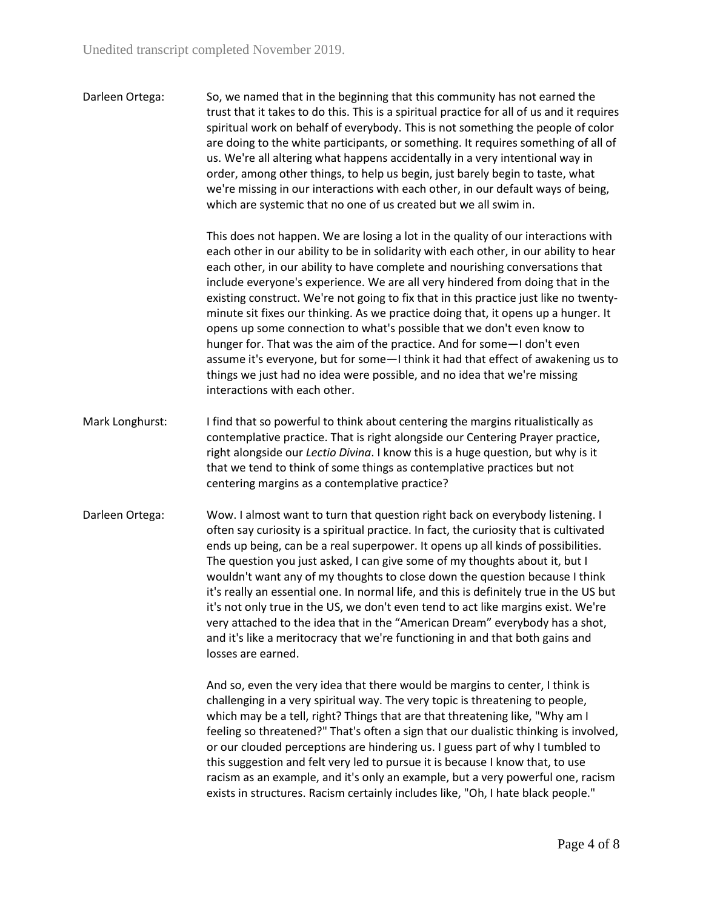Darleen Ortega: So, we named that in the beginning that this community has not earned the trust that it takes to do this. This is a spiritual practice for all of us and it requires spiritual work on behalf of everybody. This is not something the people of color are doing to the white participants, or something. It requires something of all of us. We're all altering what happens accidentally in a very intentional way in order, among other things, to help us begin, just barely begin to taste, what we're missing in our interactions with each other, in our default ways of being, which are systemic that no one of us created but we all swim in.

> This does not happen. We are losing a lot in the quality of our interactions with each other in our ability to be in solidarity with each other, in our ability to hear each other, in our ability to have complete and nourishing conversations that include everyone's experience. We are all very hindered from doing that in the existing construct. We're not going to fix that in this practice just like no twentyminute sit fixes our thinking. As we practice doing that, it opens up a hunger. It opens up some connection to what's possible that we don't even know to hunger for. That was the aim of the practice. And for some—I don't even assume it's everyone, but for some—I think it had that effect of awakening us to things we just had no idea were possible, and no idea that we're missing interactions with each other.

- Mark Longhurst: I find that so powerful to think about centering the margins ritualistically as contemplative practice. That is right alongside our Centering Prayer practice, right alongside our *Lectio Divina*. I know this is a huge question, but why is it that we tend to think of some things as contemplative practices but not centering margins as a contemplative practice?
- Darleen Ortega: Wow. I almost want to turn that question right back on everybody listening. I often say curiosity is a spiritual practice. In fact, the curiosity that is cultivated ends up being, can be a real superpower. It opens up all kinds of possibilities. The question you just asked, I can give some of my thoughts about it, but I wouldn't want any of my thoughts to close down the question because I think it's really an essential one. In normal life, and this is definitely true in the US but it's not only true in the US, we don't even tend to act like margins exist. We're very attached to the idea that in the "American Dream" everybody has a shot, and it's like a meritocracy that we're functioning in and that both gains and losses are earned.

And so, even the very idea that there would be margins to center, I think is challenging in a very spiritual way. The very topic is threatening to people, which may be a tell, right? Things that are that threatening like, "Why am I feeling so threatened?" That's often a sign that our dualistic thinking is involved, or our clouded perceptions are hindering us. I guess part of why I tumbled to this suggestion and felt very led to pursue it is because I know that, to use racism as an example, and it's only an example, but a very powerful one, racism exists in structures. Racism certainly includes like, "Oh, I hate black people."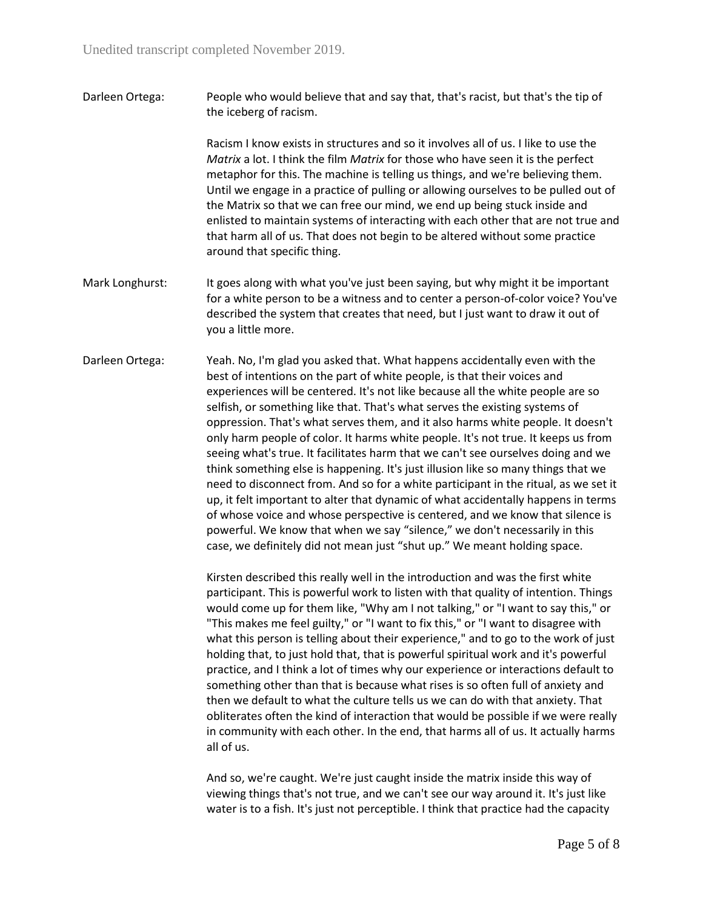Darleen Ortega: People who would believe that and say that, that's racist, but that's the tip of the iceberg of racism.

> Racism I know exists in structures and so it involves all of us. I like to use the *Matrix* a lot. I think the film *Matrix* for those who have seen it is the perfect metaphor for this. The machine is telling us things, and we're believing them. Until we engage in a practice of pulling or allowing ourselves to be pulled out of the Matrix so that we can free our mind, we end up being stuck inside and enlisted to maintain systems of interacting with each other that are not true and that harm all of us. That does not begin to be altered without some practice around that specific thing.

- Mark Longhurst: It goes along with what you've just been saying, but why might it be important for a white person to be a witness and to center a person-of-color voice? You've described the system that creates that need, but I just want to draw it out of you a little more.
- Darleen Ortega: Yeah. No, I'm glad you asked that. What happens accidentally even with the best of intentions on the part of white people, is that their voices and experiences will be centered. It's not like because all the white people are so selfish, or something like that. That's what serves the existing systems of oppression. That's what serves them, and it also harms white people. It doesn't only harm people of color. It harms white people. It's not true. It keeps us from seeing what's true. It facilitates harm that we can't see ourselves doing and we think something else is happening. It's just illusion like so many things that we need to disconnect from. And so for a white participant in the ritual, as we set it up, it felt important to alter that dynamic of what accidentally happens in terms of whose voice and whose perspective is centered, and we know that silence is powerful. We know that when we say "silence," we don't necessarily in this case, we definitely did not mean just "shut up." We meant holding space.

Kirsten described this really well in the introduction and was the first white participant. This is powerful work to listen with that quality of intention. Things would come up for them like, "Why am I not talking," or "I want to say this," or "This makes me feel guilty," or "I want to fix this," or "I want to disagree with what this person is telling about their experience," and to go to the work of just holding that, to just hold that, that is powerful spiritual work and it's powerful practice, and I think a lot of times why our experience or interactions default to something other than that is because what rises is so often full of anxiety and then we default to what the culture tells us we can do with that anxiety. That obliterates often the kind of interaction that would be possible if we were really in community with each other. In the end, that harms all of us. It actually harms all of us.

And so, we're caught. We're just caught inside the matrix inside this way of viewing things that's not true, and we can't see our way around it. It's just like water is to a fish. It's just not perceptible. I think that practice had the capacity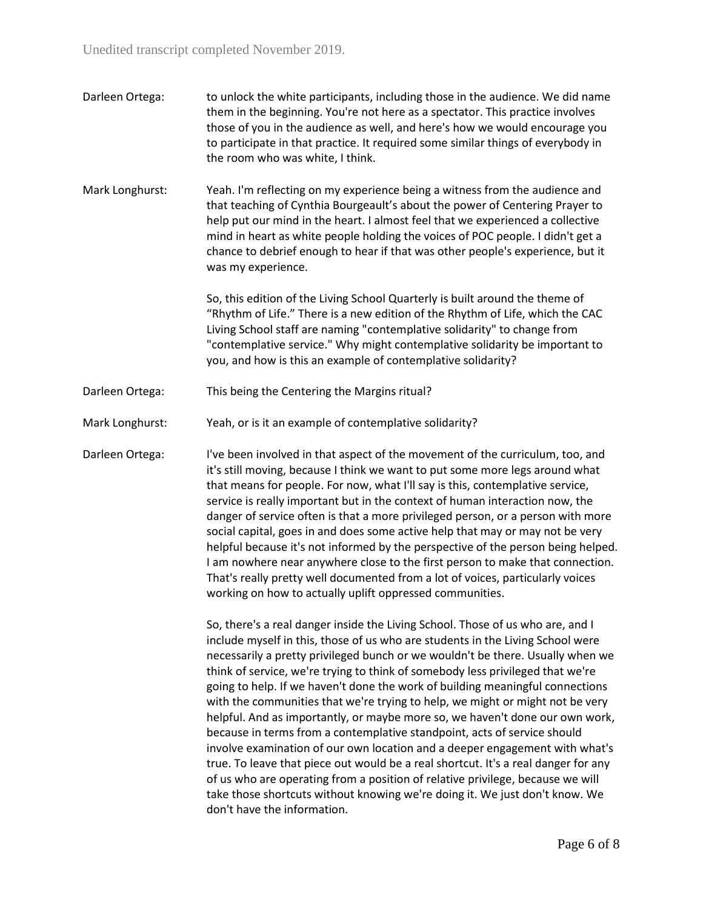Unedited transcript completed November 2019.

- Darleen Ortega: to unlock the white participants, including those in the audience. We did name them in the beginning. You're not here as a spectator. This practice involves those of you in the audience as well, and here's how we would encourage you to participate in that practice. It required some similar things of everybody in the room who was white, I think.
- Mark Longhurst: Yeah. I'm reflecting on my experience being a witness from the audience and that teaching of Cynthia Bourgeault's about the power of Centering Prayer to help put our mind in the heart. I almost feel that we experienced a collective mind in heart as white people holding the voices of POC people. I didn't get a chance to debrief enough to hear if that was other people's experience, but it was my experience.

So, this edition of the Living School Quarterly is built around the theme of "Rhythm of Life." There is a new edition of the Rhythm of Life, which the CAC Living School staff are naming "contemplative solidarity" to change from "contemplative service." Why might contemplative solidarity be important to you, and how is this an example of contemplative solidarity?

- Darleen Ortega: This being the Centering the Margins ritual?
- Mark Longhurst: Yeah, or is it an example of contemplative solidarity?

Darleen Ortega: I've been involved in that aspect of the movement of the curriculum, too, and it's still moving, because I think we want to put some more legs around what that means for people. For now, what I'll say is this, contemplative service, service is really important but in the context of human interaction now, the danger of service often is that a more privileged person, or a person with more social capital, goes in and does some active help that may or may not be very helpful because it's not informed by the perspective of the person being helped. I am nowhere near anywhere close to the first person to make that connection. That's really pretty well documented from a lot of voices, particularly voices working on how to actually uplift oppressed communities.

> So, there's a real danger inside the Living School. Those of us who are, and I include myself in this, those of us who are students in the Living School were necessarily a pretty privileged bunch or we wouldn't be there. Usually when we think of service, we're trying to think of somebody less privileged that we're going to help. If we haven't done the work of building meaningful connections with the communities that we're trying to help, we might or might not be very helpful. And as importantly, or maybe more so, we haven't done our own work, because in terms from a contemplative standpoint, acts of service should involve examination of our own location and a deeper engagement with what's true. To leave that piece out would be a real shortcut. It's a real danger for any of us who are operating from a position of relative privilege, because we will take those shortcuts without knowing we're doing it. We just don't know. We don't have the information.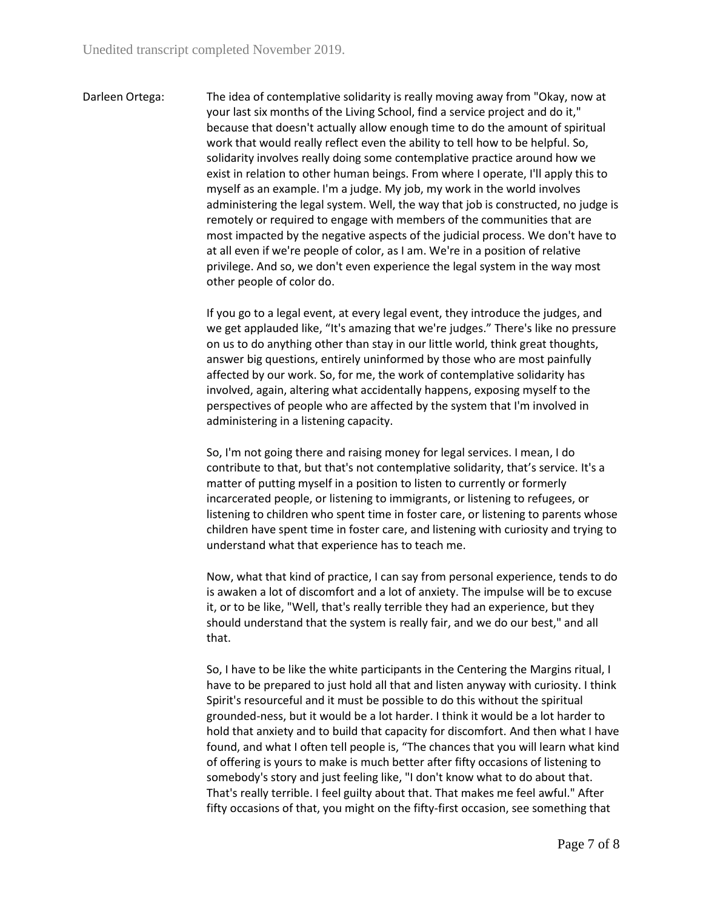Darleen Ortega: The idea of contemplative solidarity is really moving away from "Okay, now at your last six months of the Living School, find a service project and do it," because that doesn't actually allow enough time to do the amount of spiritual work that would really reflect even the ability to tell how to be helpful. So, solidarity involves really doing some contemplative practice around how we exist in relation to other human beings. From where I operate, I'll apply this to myself as an example. I'm a judge. My job, my work in the world involves administering the legal system. Well, the way that job is constructed, no judge is remotely or required to engage with members of the communities that are most impacted by the negative aspects of the judicial process. We don't have to at all even if we're people of color, as I am. We're in a position of relative privilege. And so, we don't even experience the legal system in the way most other people of color do.

> If you go to a legal event, at every legal event, they introduce the judges, and we get applauded like, "It's amazing that we're judges." There's like no pressure on us to do anything other than stay in our little world, think great thoughts, answer big questions, entirely uninformed by those who are most painfully affected by our work. So, for me, the work of contemplative solidarity has involved, again, altering what accidentally happens, exposing myself to the perspectives of people who are affected by the system that I'm involved in administering in a listening capacity.

> So, I'm not going there and raising money for legal services. I mean, I do contribute to that, but that's not contemplative solidarity, that's service. It's a matter of putting myself in a position to listen to currently or formerly incarcerated people, or listening to immigrants, or listening to refugees, or listening to children who spent time in foster care, or listening to parents whose children have spent time in foster care, and listening with curiosity and trying to understand what that experience has to teach me.

> Now, what that kind of practice, I can say from personal experience, tends to do is awaken a lot of discomfort and a lot of anxiety. The impulse will be to excuse it, or to be like, "Well, that's really terrible they had an experience, but they should understand that the system is really fair, and we do our best," and all that.

> So, I have to be like the white participants in the Centering the Margins ritual, I have to be prepared to just hold all that and listen anyway with curiosity. I think Spirit's resourceful and it must be possible to do this without the spiritual grounded-ness, but it would be a lot harder. I think it would be a lot harder to hold that anxiety and to build that capacity for discomfort. And then what I have found, and what I often tell people is, "The chances that you will learn what kind of offering is yours to make is much better after fifty occasions of listening to somebody's story and just feeling like, "I don't know what to do about that. That's really terrible. I feel guilty about that. That makes me feel awful." After fifty occasions of that, you might on the fifty-first occasion, see something that